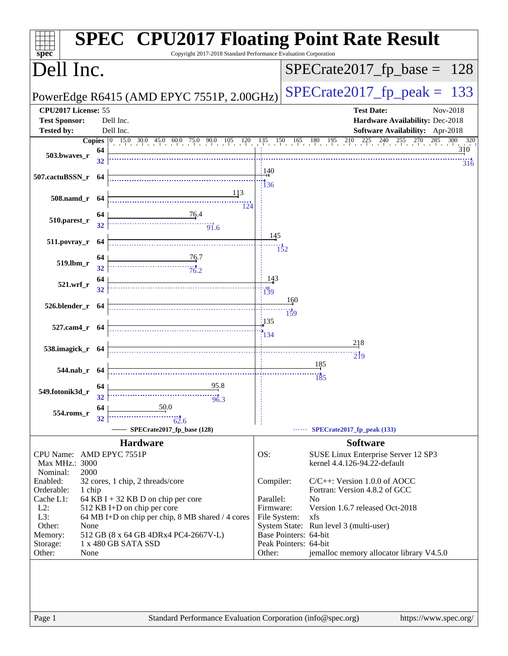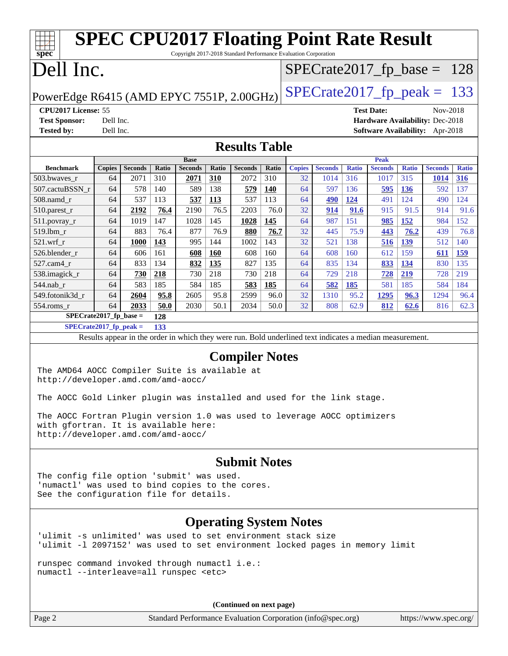| <b>SPEC CPU2017 Floating Point Rate Result</b><br>Copyright 2017-2018 Standard Performance Evaluation Corporation<br>$spec^*$           |           |                |       |                               |            |                      |            |               |                |              |                               |              |                                 |              |
|-----------------------------------------------------------------------------------------------------------------------------------------|-----------|----------------|-------|-------------------------------|------------|----------------------|------------|---------------|----------------|--------------|-------------------------------|--------------|---------------------------------|--------------|
| Dell Inc.<br>$SPECrate2017_fp\_base =$<br>128                                                                                           |           |                |       |                               |            |                      |            |               |                |              |                               |              |                                 |              |
| $SPECTate2017$ _fp_peak =<br>133<br>PowerEdge R6415 (AMD EPYC 7551P, 2.00GHz)                                                           |           |                |       |                               |            |                      |            |               |                |              |                               |              |                                 |              |
| CPU2017 License: 55                                                                                                                     |           |                |       |                               |            |                      |            |               |                |              | <b>Test Date:</b>             |              | Nov-2018                        |              |
| <b>Test Sponsor:</b>                                                                                                                    | Dell Inc. |                |       |                               |            |                      |            |               |                |              |                               |              | Hardware Availability: Dec-2018 |              |
| <b>Tested by:</b>                                                                                                                       | Dell Inc. |                |       |                               |            |                      |            |               |                |              |                               |              | Software Availability: Apr-2018 |              |
|                                                                                                                                         |           |                |       |                               |            |                      |            |               |                |              |                               |              |                                 |              |
|                                                                                                                                         |           |                |       |                               |            | <b>Results Table</b> |            |               |                |              |                               |              |                                 |              |
| <b>Benchmark</b>                                                                                                                        | Copies    | <b>Seconds</b> | Ratio | <b>Base</b><br><b>Seconds</b> | Ratio      | <b>Seconds</b>       | Ratio      | <b>Copies</b> | <b>Seconds</b> | <b>Ratio</b> | <b>Peak</b><br><b>Seconds</b> | <b>Ratio</b> | <b>Seconds</b>                  | <b>Ratio</b> |
| 503.bwaves_r                                                                                                                            | 64        | 2071           | 310   | 2071                          | 310        | 2072                 | 310        | 32            | 1014           | 316          | 1017                          | 315          | <b>1014</b>                     | <b>316</b>   |
| 507.cactuBSSN_r                                                                                                                         | 64        | 578            | 140   | 589                           | 138        | 579                  | <b>140</b> | 64            | 597            | 136          | 595                           | <b>136</b>   | 592                             | 137          |
| 508.namd_r                                                                                                                              | 64        | 537            | 113   | 537                           | 113        | 537                  | 113        | 64            | 490            | 124          | 491                           | 124          | 490                             | 124          |
| 510.parest_r                                                                                                                            | 64        | 2192           | 76.4  | 2190                          | 76.5       | 2203                 | 76.0       | 32            | 914            | 91.6         | 915                           | 91.5         | 914                             | 91.6         |
| 511.povray_r                                                                                                                            | 64        | 1019           | 147   | 1028                          | 145        | <b>1028</b>          | 145        | 64            | 987            | 151          | 985                           | 152          | 984                             | 152          |
| 519.lbm r                                                                                                                               | 64        | 883            | 76.4  | 877                           | 76.9       | 880                  | 76.7       | 32            | 445            | 75.9         | 443                           | 76.2         | 439                             | 76.8         |
| 521.wrf r                                                                                                                               | 64        | 1000           | 143   | 995                           | 144        | 1002                 | 143        | 32            | 521            | 138          | 516                           | <b>139</b>   | 512                             | 140          |
| 526.blender_r                                                                                                                           | 64        | 606            | 161   | 608                           | <b>160</b> | 608                  | 160        | 64            | 608            | 160          | 612                           | 159          | 611                             | <b>159</b>   |
| 527.cam4_r                                                                                                                              | 64        | 833            | 134   | 832                           | 135        | 827                  | 135        | 64            | 835            | 134          | 833                           | <b>134</b>   | 830                             | 135          |
| 538.imagick_r                                                                                                                           | 64        | 730            | 218   | 730                           | 218        | 730                  | 218        | 64            | 729            | 218          | 728                           | 219          | 728                             | 219          |
| 544.nab_r                                                                                                                               | 64        | 583            | 185   | 584                           | 185        | 583                  | 185        | 64            | 582            | 185          | 581                           | 185          | 584                             | 184          |
| 549.fotonik3d_r                                                                                                                         | 64        | 2604           | 95.8  | 2605                          | 95.8       | 2599                 | 96.0       | 32            | 1310           | 95.2         | 1295                          | 96.3         | 1294                            | 96.4         |
| 554.roms_r                                                                                                                              | 64        | 2033           | 50.0  | 2030                          | 50.1       | 2034                 | 50.0       | 32            | 808            | 62.9         | 812                           | 62.6         | 816                             | 62.3         |
| $SPECrate2017_fp\_base =$                                                                                                               |           |                | 128   |                               |            |                      |            |               |                |              |                               |              |                                 |              |
| $SPECrate2017_fp\_peak =$<br>133                                                                                                        |           |                |       |                               |            |                      |            |               |                |              |                               |              |                                 |              |
| Results appear in the order in which they were run. Bold underlined text indicates a median measurement.                                |           |                |       |                               |            |                      |            |               |                |              |                               |              |                                 |              |
|                                                                                                                                         |           |                |       |                               |            |                      |            |               |                |              |                               |              |                                 |              |
| <b>Compiler Notes</b><br>The AMD64 AOCC Compiler Suite is available at<br>http://developer.amd.com/amd-aocc/                            |           |                |       |                               |            |                      |            |               |                |              |                               |              |                                 |              |
| The AOCC Gold Linker plugin was installed and used for the link stage                                                                   |           |                |       |                               |            |                      |            |               |                |              |                               |              |                                 |              |
| The AOCC Fortran Plugin version 1.0 was used to leverage AOCC optimizers                                                                |           |                |       |                               |            |                      |            |               |                |              |                               |              |                                 |              |
| with gfortran. It is available here:<br>http://developer.amd.com/amd-aocc/                                                              |           |                |       |                               |            |                      |            |               |                |              |                               |              |                                 |              |
| <b>Submit Notes</b>                                                                                                                     |           |                |       |                               |            |                      |            |               |                |              |                               |              |                                 |              |
| The config file option 'submit' was used.<br>'numactl' was used to bind copies to the cores.<br>See the configuration file for details. |           |                |       |                               |            |                      |            |               |                |              |                               |              |                                 |              |
| <b>Operating System Notes</b><br>'ulimit -s unlimited' was used to set environment stack size                                           |           |                |       |                               |            |                      |            |               |                |              |                               |              |                                 |              |
| 'ulimit -1 2097152' was used to set environment locked pages in memory limit                                                            |           |                |       |                               |            |                      |            |               |                |              |                               |              |                                 |              |
| runspec command invoked through numactl i.e.:<br>numactl --interleave=all runspec <etc></etc>                                           |           |                |       |                               |            |                      |            |               |                |              |                               |              |                                 |              |

**(Continued on next page)**

Page 2 Standard Performance Evaluation Corporation [\(info@spec.org\)](mailto:info@spec.org) <https://www.spec.org/>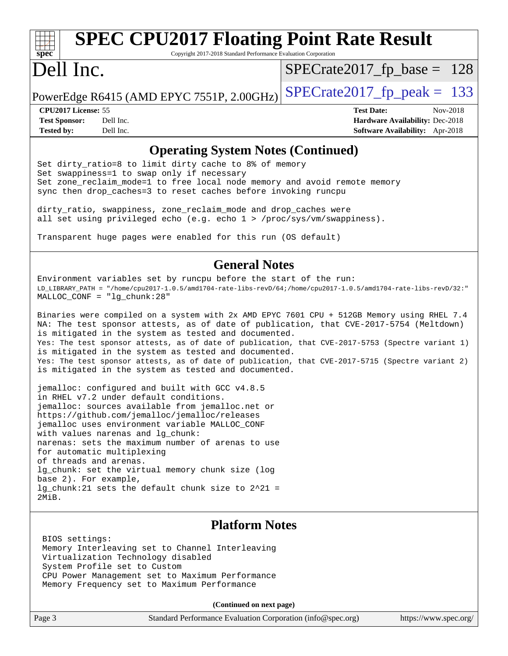# **[spec](http://www.spec.org/)**

# **[SPEC CPU2017 Floating Point Rate Result](http://www.spec.org/auto/cpu2017/Docs/result-fields.html#SPECCPU2017FloatingPointRateResult)**

Copyright 2017-2018 Standard Performance Evaluation Corporation

## Dell Inc.

 $SPECTate2017_fp\_base = 128$ 

PowerEdge R6415 (AMD EPYC 7551P, 2.00GHz)  $\text{SPECrate2017\_fp\_peak} = 133$ 

**[Tested by:](http://www.spec.org/auto/cpu2017/Docs/result-fields.html#Testedby)** Dell Inc. **[Software Availability:](http://www.spec.org/auto/cpu2017/Docs/result-fields.html#SoftwareAvailability)** Apr-2018

**[CPU2017 License:](http://www.spec.org/auto/cpu2017/Docs/result-fields.html#CPU2017License)** 55 **[Test Date:](http://www.spec.org/auto/cpu2017/Docs/result-fields.html#TestDate)** Nov-2018 **[Test Sponsor:](http://www.spec.org/auto/cpu2017/Docs/result-fields.html#TestSponsor)** Dell Inc. **[Hardware Availability:](http://www.spec.org/auto/cpu2017/Docs/result-fields.html#HardwareAvailability)** Dec-2018

#### **[Operating System Notes \(Continued\)](http://www.spec.org/auto/cpu2017/Docs/result-fields.html#OperatingSystemNotes)**

Set dirty\_ratio=8 to limit dirty cache to 8% of memory Set swappiness=1 to swap only if necessary Set zone\_reclaim\_mode=1 to free local node memory and avoid remote memory sync then drop\_caches=3 to reset caches before invoking runcpu

dirty\_ratio, swappiness, zone\_reclaim\_mode and drop\_caches were all set using privileged echo (e.g. echo 1 > /proc/sys/vm/swappiness).

Transparent huge pages were enabled for this run (OS default)

#### **[General Notes](http://www.spec.org/auto/cpu2017/Docs/result-fields.html#GeneralNotes)**

Environment variables set by runcpu before the start of the run: LD\_LIBRARY\_PATH = "/home/cpu2017-1.0.5/amd1704-rate-libs-revD/64;/home/cpu2017-1.0.5/amd1704-rate-libs-revD/32:" MALLOC\_CONF = "lg\_chunk:28"

Binaries were compiled on a system with 2x AMD EPYC 7601 CPU + 512GB Memory using RHEL 7.4 NA: The test sponsor attests, as of date of publication, that CVE-2017-5754 (Meltdown) is mitigated in the system as tested and documented. Yes: The test sponsor attests, as of date of publication, that CVE-2017-5753 (Spectre variant 1) is mitigated in the system as tested and documented. Yes: The test sponsor attests, as of date of publication, that CVE-2017-5715 (Spectre variant 2) is mitigated in the system as tested and documented.

jemalloc: configured and built with GCC v4.8.5 in RHEL v7.2 under default conditions. jemalloc: sources available from jemalloc.net or <https://github.com/jemalloc/jemalloc/releases> jemalloc uses environment variable MALLOC\_CONF with values narenas and lg\_chunk: narenas: sets the maximum number of arenas to use for automatic multiplexing of threads and arenas. lg chunk: set the virtual memory chunk size (log base 2). For example, lg\_chunk:21 sets the default chunk size to 2^21 = 2MiB.

#### **[Platform Notes](http://www.spec.org/auto/cpu2017/Docs/result-fields.html#PlatformNotes)**

 BIOS settings: Memory Interleaving set to Channel Interleaving Virtualization Technology disabled System Profile set to Custom CPU Power Management set to Maximum Performance Memory Frequency set to Maximum Performance

**(Continued on next page)**

| Page 3 | Standard Performance Evaluation Corporation (info@spec.org) |  | https://www.spec.org/ |
|--------|-------------------------------------------------------------|--|-----------------------|
|--------|-------------------------------------------------------------|--|-----------------------|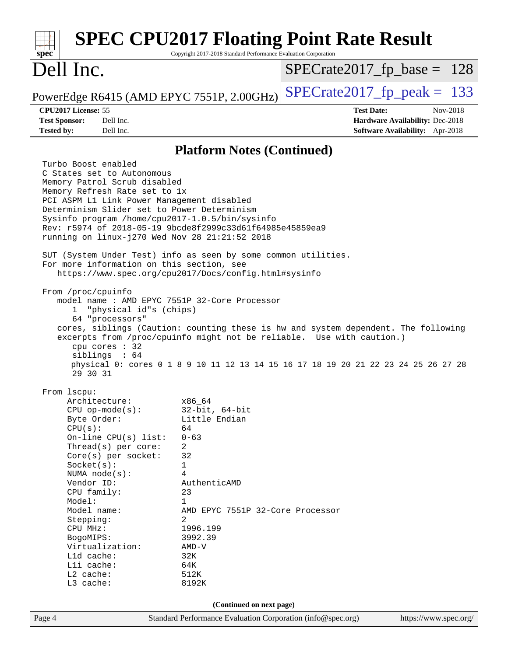| Spec                                      |                                                                                                                                                                                                                                                                                                                                                                                                                                                                                                                                                                                                                                                                                                                                                                                                                                                                                                                                                                                                    | Copyright 2017-2018 Standard Performance Evaluation Corporation                                                                                                                                                             | <b>SPEC CPU2017 Floating Point Rate Result</b> |                                                                                              |
|-------------------------------------------|----------------------------------------------------------------------------------------------------------------------------------------------------------------------------------------------------------------------------------------------------------------------------------------------------------------------------------------------------------------------------------------------------------------------------------------------------------------------------------------------------------------------------------------------------------------------------------------------------------------------------------------------------------------------------------------------------------------------------------------------------------------------------------------------------------------------------------------------------------------------------------------------------------------------------------------------------------------------------------------------------|-----------------------------------------------------------------------------------------------------------------------------------------------------------------------------------------------------------------------------|------------------------------------------------|----------------------------------------------------------------------------------------------|
|                                           | Dell Inc.                                                                                                                                                                                                                                                                                                                                                                                                                                                                                                                                                                                                                                                                                                                                                                                                                                                                                                                                                                                          |                                                                                                                                                                                                                             | $SPECrate2017_fp\_base = 128$                  |                                                                                              |
|                                           | PowerEdge R6415 (AMD EPYC 7551P, 2.00GHz)                                                                                                                                                                                                                                                                                                                                                                                                                                                                                                                                                                                                                                                                                                                                                                                                                                                                                                                                                          |                                                                                                                                                                                                                             | $SPECrate2017_fp\_peak = 133$                  |                                                                                              |
| <b>Test Sponsor:</b><br><b>Tested by:</b> | CPU2017 License: 55<br>Dell Inc.<br>Dell Inc.                                                                                                                                                                                                                                                                                                                                                                                                                                                                                                                                                                                                                                                                                                                                                                                                                                                                                                                                                      |                                                                                                                                                                                                                             | <b>Test Date:</b>                              | Nov-2018<br><b>Hardware Availability: Dec-2018</b><br><b>Software Availability:</b> Apr-2018 |
|                                           |                                                                                                                                                                                                                                                                                                                                                                                                                                                                                                                                                                                                                                                                                                                                                                                                                                                                                                                                                                                                    | <b>Platform Notes (Continued)</b>                                                                                                                                                                                           |                                                |                                                                                              |
|                                           | Turbo Boost enabled<br>C States set to Autonomous<br>Memory Patrol Scrub disabled<br>Memory Refresh Rate set to 1x<br>PCI ASPM L1 Link Power Management disabled<br>Determinism Slider set to Power Determinism<br>Sysinfo program /home/cpu2017-1.0.5/bin/sysinfo<br>Rev: r5974 of 2018-05-19 9bcde8f2999c33d61f64985e45859ea9<br>running on linux-j270 Wed Nov 28 21:21:52 2018<br>SUT (System Under Test) info as seen by some common utilities.<br>For more information on this section, see<br>https://www.spec.org/cpu2017/Docs/config.html#sysinfo<br>From /proc/cpuinfo<br>model name: AMD EPYC 7551P 32-Core Processor<br>"physical id"s (chips)<br>$\mathbf{1}$<br>64 "processors"<br>cores, siblings (Caution: counting these is hw and system dependent. The following<br>excerpts from /proc/cpuinfo might not be reliable. Use with caution.)<br>cpu cores : 32<br>siblings : $64$<br>physical 0: cores 0 1 8 9 10 11 12 13 14 15 16 17 18 19 20 21 22 23 24 25 26 27 28<br>29 30 31 |                                                                                                                                                                                                                             |                                                |                                                                                              |
|                                           | From 1scpu:<br>Architecture:<br>$CPU$ op-mode( $s$ ):<br>Byte Order:<br>CPU(s):<br>On-line CPU(s) list:<br>Thread(s) per core:<br>Core(s) per socket:<br>Socket(s):<br>NUMA $node(s)$ :<br>Vendor ID:<br>CPU family:<br>Model:<br>Model name:<br>Stepping:<br>CPU MHz:<br>BogoMIPS:<br>Virtualization:<br>L1d cache:<br>Lli cache:<br>L2 cache:<br>L3 cache:                                                                                                                                                                                                                                                                                                                                                                                                                                                                                                                                                                                                                                       | x86_64<br>$32$ -bit, $64$ -bit<br>Little Endian<br>64<br>$0 - 63$<br>2<br>32<br>1<br>4<br>AuthenticAMD<br>23<br>1<br>AMD EPYC 7551P 32-Core Processor<br>2<br>1996.199<br>3992.39<br>$AMD-V$<br>32K<br>64K<br>512K<br>8192K |                                                |                                                                                              |
| Page 4                                    |                                                                                                                                                                                                                                                                                                                                                                                                                                                                                                                                                                                                                                                                                                                                                                                                                                                                                                                                                                                                    | (Continued on next page)<br>Standard Performance Evaluation Corporation (info@spec.org)                                                                                                                                     |                                                | https://www.spec.org/                                                                        |
|                                           |                                                                                                                                                                                                                                                                                                                                                                                                                                                                                                                                                                                                                                                                                                                                                                                                                                                                                                                                                                                                    |                                                                                                                                                                                                                             |                                                |                                                                                              |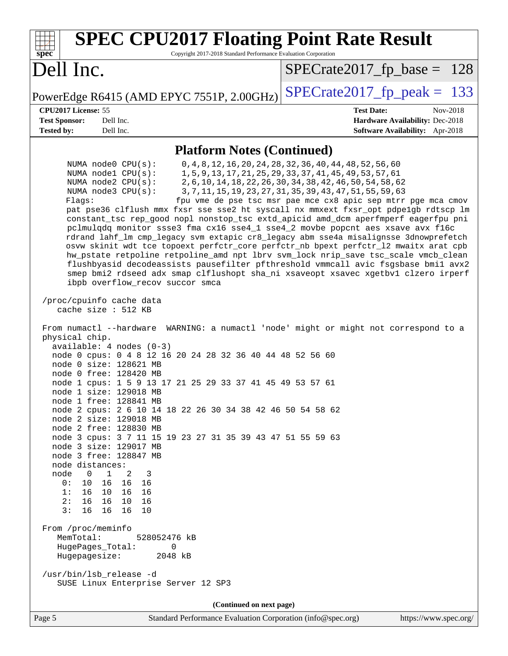| <b>SPEC CPU2017 Floating Point Rate Result</b><br>Copyright 2017-2018 Standard Performance Evaluation Corporation<br>spec <sup>®</sup>                                                                                                                                                                                                                                                                                                                                                                                                                                                                                                                                                                                                                                                                                                                                                                                                                                                                                                                                                                                                                                                                                                                                                                                                                                                                                                                                                                                                                                                                                                                                                                                                                                                                                                                              |                                                                                                                                                                                                                                                                                                                             |
|---------------------------------------------------------------------------------------------------------------------------------------------------------------------------------------------------------------------------------------------------------------------------------------------------------------------------------------------------------------------------------------------------------------------------------------------------------------------------------------------------------------------------------------------------------------------------------------------------------------------------------------------------------------------------------------------------------------------------------------------------------------------------------------------------------------------------------------------------------------------------------------------------------------------------------------------------------------------------------------------------------------------------------------------------------------------------------------------------------------------------------------------------------------------------------------------------------------------------------------------------------------------------------------------------------------------------------------------------------------------------------------------------------------------------------------------------------------------------------------------------------------------------------------------------------------------------------------------------------------------------------------------------------------------------------------------------------------------------------------------------------------------------------------------------------------------------------------------------------------------|-----------------------------------------------------------------------------------------------------------------------------------------------------------------------------------------------------------------------------------------------------------------------------------------------------------------------------|
| Dell Inc.                                                                                                                                                                                                                                                                                                                                                                                                                                                                                                                                                                                                                                                                                                                                                                                                                                                                                                                                                                                                                                                                                                                                                                                                                                                                                                                                                                                                                                                                                                                                                                                                                                                                                                                                                                                                                                                           | $SPECrate2017_fp\_base = 128$                                                                                                                                                                                                                                                                                               |
| PowerEdge R6415 (AMD EPYC 7551P, 2.00GHz)                                                                                                                                                                                                                                                                                                                                                                                                                                                                                                                                                                                                                                                                                                                                                                                                                                                                                                                                                                                                                                                                                                                                                                                                                                                                                                                                                                                                                                                                                                                                                                                                                                                                                                                                                                                                                           | $SPECTate2017$ _fp_peak = 133                                                                                                                                                                                                                                                                                               |
| CPU2017 License: 55<br><b>Test Sponsor:</b><br>Dell Inc.<br><b>Tested by:</b><br>Dell Inc.                                                                                                                                                                                                                                                                                                                                                                                                                                                                                                                                                                                                                                                                                                                                                                                                                                                                                                                                                                                                                                                                                                                                                                                                                                                                                                                                                                                                                                                                                                                                                                                                                                                                                                                                                                          | <b>Test Date:</b><br>Nov-2018<br>Hardware Availability: Dec-2018<br>Software Availability: Apr-2018                                                                                                                                                                                                                         |
| <b>Platform Notes (Continued)</b>                                                                                                                                                                                                                                                                                                                                                                                                                                                                                                                                                                                                                                                                                                                                                                                                                                                                                                                                                                                                                                                                                                                                                                                                                                                                                                                                                                                                                                                                                                                                                                                                                                                                                                                                                                                                                                   |                                                                                                                                                                                                                                                                                                                             |
| NUMA node0 CPU(s):<br>NUMA nodel CPU(s):<br>NUMA $node2$ $CPU(s)$ :<br>NUMA node3 CPU(s):<br>Flagg:<br>pat pse36 clflush mmx fxsr sse sse2 ht syscall nx mmxext fxsr_opt pdpe1gb rdtscp lm<br>constant_tsc rep_good nopl nonstop_tsc extd_apicid amd_dcm aperfmperf eagerfpu pni<br>pclmulqdq monitor ssse3 fma cx16 sse4_1 sse4_2 movbe popcnt aes xsave avx f16c<br>rdrand lahf_lm cmp_legacy svm extapic cr8_legacy abm sse4a misalignsse 3dnowprefetch<br>osvw skinit wdt tce topoext perfctr_core perfctr_nb bpext perfctr_12 mwaitx arat cpb<br>hw_pstate retpoline retpoline_amd npt lbrv svm_lock nrip_save tsc_scale vmcb_clean<br>flushbyasid decodeassists pausefilter pfthreshold vmmcall avic fsgsbase bmil avx2<br>smep bmi2 rdseed adx smap clflushopt sha_ni xsaveopt xsavec xgetbvl clzero irperf<br>ibpb overflow_recov succor smca<br>/proc/cpuinfo cache data<br>cache size : 512 KB<br>From numactl --hardware WARNING: a numactl 'node' might or might not correspond to a<br>physical chip.<br>$available: 4 nodes (0-3)$<br>node 0 cpus: 0 4 8 12 16 20 24 28 32 36 40 44 48 52 56 60<br>node 0 size: 128621 MB<br>node 0 free: 128420 MB<br>node 1 cpus: 1 5 9 13 17 21 25 29 33 37 41 45 49 53 57 61<br>node 1 size: 129018 MB<br>node 1 free: 128841 MB<br>node 2 cpus: 2 6 10 14 18 22 26 30 34 38 42 46 50 54 58 62<br>node 2 size: 129018 MB<br>node 2 free: 128830 MB<br>node 3 cpus: 3 7 11 15 19 23 27 31 35 39 43 47 51 55 59 63<br>node 3 size: 129017 MB<br>node 3 free: 128847 MB<br>node distances:<br>node<br>$\overline{\phantom{0}}$<br>$\mathbf{1}$<br>2<br>3<br>0: 10 16 16 16<br>1: 16 10 16 16<br>2: 16 16 10 16<br>3:161616<br>10<br>From /proc/meminfo<br>MemTotal:<br>528052476 kB<br>HugePages_Total:<br>$\mathbf 0$<br>Hugepagesize:<br>2048 kB<br>/usr/bin/lsb_release -d<br>SUSE Linux Enterprise Server 12 SP3 | 0, 4, 8, 12, 16, 20, 24, 28, 32, 36, 40, 44, 48, 52, 56, 60<br>1, 5, 9, 13, 17, 21, 25, 29, 33, 37, 41, 45, 49, 53, 57, 61<br>2, 6, 10, 14, 18, 22, 26, 30, 34, 38, 42, 46, 50, 54, 58, 62<br>3, 7, 11, 15, 19, 23, 27, 31, 35, 39, 43, 47, 51, 55, 59, 63<br>fpu vme de pse tsc msr pae mce cx8 apic sep mtrr pge mca cmov |
| (Continued on next page)                                                                                                                                                                                                                                                                                                                                                                                                                                                                                                                                                                                                                                                                                                                                                                                                                                                                                                                                                                                                                                                                                                                                                                                                                                                                                                                                                                                                                                                                                                                                                                                                                                                                                                                                                                                                                                            |                                                                                                                                                                                                                                                                                                                             |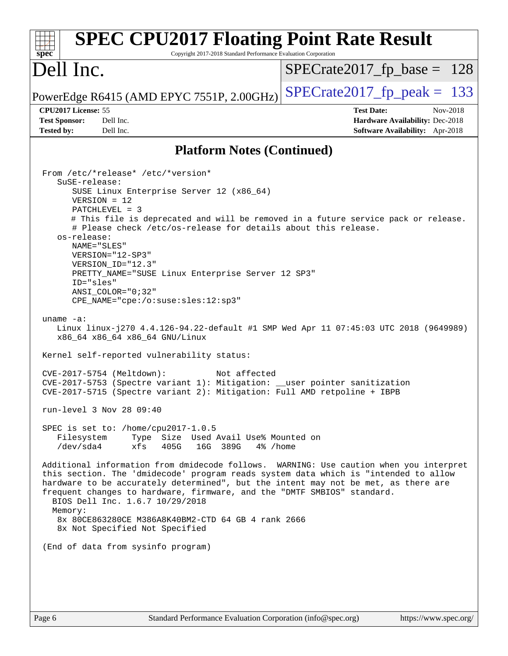| <b>SPEC CPU2017 Floating Point Rate Result</b><br>Copyright 2017-2018 Standard Performance Evaluation Corporation<br>$spec^*$                                                                                                                                                                                                                                                                                                                                                                                                                                                                                                                                                                                                                                                                                                                                                                                                                                                                                                                                                                                                                                                                                                                                                                                                                                                                                                                                                                                                                                                                                  |                                                                                                     |
|----------------------------------------------------------------------------------------------------------------------------------------------------------------------------------------------------------------------------------------------------------------------------------------------------------------------------------------------------------------------------------------------------------------------------------------------------------------------------------------------------------------------------------------------------------------------------------------------------------------------------------------------------------------------------------------------------------------------------------------------------------------------------------------------------------------------------------------------------------------------------------------------------------------------------------------------------------------------------------------------------------------------------------------------------------------------------------------------------------------------------------------------------------------------------------------------------------------------------------------------------------------------------------------------------------------------------------------------------------------------------------------------------------------------------------------------------------------------------------------------------------------------------------------------------------------------------------------------------------------|-----------------------------------------------------------------------------------------------------|
| Dell Inc.                                                                                                                                                                                                                                                                                                                                                                                                                                                                                                                                                                                                                                                                                                                                                                                                                                                                                                                                                                                                                                                                                                                                                                                                                                                                                                                                                                                                                                                                                                                                                                                                      | $SPECTate2017fr base = 128$                                                                         |
| PowerEdge R6415 (AMD EPYC 7551P, 2.00GHz)                                                                                                                                                                                                                                                                                                                                                                                                                                                                                                                                                                                                                                                                                                                                                                                                                                                                                                                                                                                                                                                                                                                                                                                                                                                                                                                                                                                                                                                                                                                                                                      | $SPECrate2017fp peak = 133$                                                                         |
| CPU2017 License: 55<br><b>Test Sponsor:</b><br>Dell Inc.<br>Dell Inc.<br><b>Tested by:</b>                                                                                                                                                                                                                                                                                                                                                                                                                                                                                                                                                                                                                                                                                                                                                                                                                                                                                                                                                                                                                                                                                                                                                                                                                                                                                                                                                                                                                                                                                                                     | <b>Test Date:</b><br>Nov-2018<br>Hardware Availability: Dec-2018<br>Software Availability: Apr-2018 |
| <b>Platform Notes (Continued)</b>                                                                                                                                                                                                                                                                                                                                                                                                                                                                                                                                                                                                                                                                                                                                                                                                                                                                                                                                                                                                                                                                                                                                                                                                                                                                                                                                                                                                                                                                                                                                                                              |                                                                                                     |
| From /etc/*release* /etc/*version*<br>$S$ uSE-release:<br>SUSE Linux Enterprise Server 12 (x86_64)<br>$VERSION = 12$<br>$PATCHLEVEL = 3$<br># This file is deprecated and will be removed in a future service pack or release.<br># Please check /etc/os-release for details about this release.<br>os-release:<br>NAME="SLES"<br>VERSION="12-SP3"<br>VERSION ID="12.3"<br>PRETTY_NAME="SUSE Linux Enterprise Server 12 SP3"<br>ID="sles"<br>ANSI_COLOR="0;32"<br>CPE_NAME="cpe:/o:suse:sles:12:sp3"<br>uname $-a$ :<br>Linux linux-j270 4.4.126-94.22-default #1 SMP Wed Apr 11 07:45:03 UTC 2018 (9649989)<br>x86_64 x86_64 x86_64 GNU/Linux<br>Kernel self-reported vulnerability status:<br>CVE-2017-5754 (Meltdown):<br>Not affected<br>CVE-2017-5753 (Spectre variant 1): Mitigation: __user pointer sanitization<br>CVE-2017-5715 (Spectre variant 2): Mitigation: Full AMD retpoline + IBPB<br>run-level 3 Nov 28 09:40<br>SPEC is set to: /home/cpu2017-1.0.5<br>Type Size Used Avail Use% Mounted on<br>Filesystem<br>16G 389G<br>/dev/sda4<br>xfs<br>405G<br>4% /home<br>Additional information from dmidecode follows. WARNING: Use caution when you interpret<br>this section. The 'dmidecode' program reads system data which is "intended to allow<br>hardware to be accurately determined", but the intent may not be met, as there are<br>frequent changes to hardware, firmware, and the "DMTF SMBIOS" standard.<br>BIOS Dell Inc. 1.6.7 10/29/2018<br>Memory:<br>8x 80CE863280CE M386A8K40BM2-CTD 64 GB 4 rank 2666<br>8x Not Specified Not Specified<br>(End of data from sysinfo program) |                                                                                                     |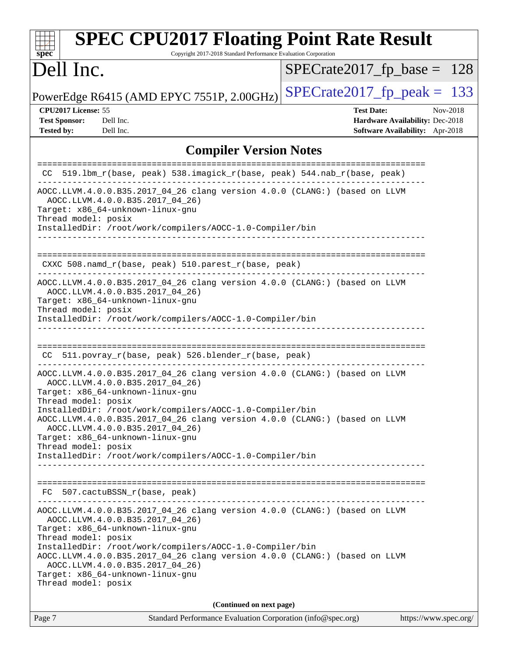| <b>SPEC CPU2017 Floating Point Rate Result</b><br>Copyright 2017-2018 Standard Performance Evaluation Corporation<br>spec <sup>®</sup>                                                                                                                                                                                                                                                                           |                                                                                                     |
|------------------------------------------------------------------------------------------------------------------------------------------------------------------------------------------------------------------------------------------------------------------------------------------------------------------------------------------------------------------------------------------------------------------|-----------------------------------------------------------------------------------------------------|
| Dell Inc.                                                                                                                                                                                                                                                                                                                                                                                                        | $SPECTate2017_fp\_base = 128$                                                                       |
| PowerEdge R6415 (AMD EPYC 7551P, 2.00GHz)                                                                                                                                                                                                                                                                                                                                                                        | $SPECTate2017$ _fp_peak = 133                                                                       |
| CPU2017 License: 55<br><b>Test Sponsor:</b><br>Dell Inc.<br><b>Tested by:</b><br>Dell Inc.                                                                                                                                                                                                                                                                                                                       | <b>Test Date:</b><br>Nov-2018<br>Hardware Availability: Dec-2018<br>Software Availability: Apr-2018 |
| <b>Compiler Version Notes</b>                                                                                                                                                                                                                                                                                                                                                                                    |                                                                                                     |
| 519.1bm_r(base, peak) 538.imagick_r(base, peak) 544.nab_r(base, peak)<br>CC.                                                                                                                                                                                                                                                                                                                                     |                                                                                                     |
| AOCC.LLVM.4.0.0.B35.2017_04_26 clang version 4.0.0 (CLANG:) (based on LLVM<br>AOCC.LLVM.4.0.0.B35.2017_04_26)<br>Target: x86_64-unknown-linux-gnu<br>Thread model: posix<br>InstalledDir: /root/work/compilers/AOCC-1.0-Compiler/bin                                                                                                                                                                             |                                                                                                     |
| CXXC 508.namd_r(base, peak) 510.parest_r(base, peak)                                                                                                                                                                                                                                                                                                                                                             |                                                                                                     |
| AOCC.LLVM.4.0.0.B35.2017_04_26 clang version 4.0.0 (CLANG:) (based on LLVM<br>AOCC.LLVM.4.0.0.B35.2017_04_26)<br>Target: x86_64-unknown-linux-gnu<br>Thread model: posix<br>InstalledDir: /root/work/compilers/AOCC-1.0-Compiler/bin                                                                                                                                                                             |                                                                                                     |
| 511.povray_r(base, peak) 526.blender_r(base, peak)<br>CC.                                                                                                                                                                                                                                                                                                                                                        | ------------------------------------                                                                |
| AOCC.LLVM.4.0.0.B35.2017_04_26 clang version 4.0.0 (CLANG:) (based on LLVM<br>AOCC.LLVM.4.0.0.B35.2017 04 26)<br>Target: x86_64-unknown-linux-gnu<br>Thread model: posix                                                                                                                                                                                                                                         |                                                                                                     |
| InstalledDir: /root/work/compilers/AOCC-1.0-Compiler/bin<br>AOCC.LLVM.4.0.0.B35.2017_04_26 clang version 4.0.0 (CLANG:) (based on LLVM<br>AOCC.LLVM.4.0.0.B35.2017_04_26)<br>Target: x86_64-unknown-linux-gnu<br>Thread model: posix                                                                                                                                                                             |                                                                                                     |
| InstalledDir: /root/work/compilers/AOCC-1.0-Compiler/bin                                                                                                                                                                                                                                                                                                                                                         |                                                                                                     |
| FC 507.cactuBSSN_r(base, peak)<br>----------------------------                                                                                                                                                                                                                                                                                                                                                   |                                                                                                     |
| AOCC.LLVM.4.0.0.B35.2017_04_26 clang version 4.0.0 (CLANG:) (based on LLVM<br>AOCC.LLVM.4.0.0.B35.2017_04_26)<br>Target: x86_64-unknown-linux-gnu<br>Thread model: posix<br>InstalledDir: /root/work/compilers/AOCC-1.0-Compiler/bin<br>AOCC.LLVM.4.0.0.B35.2017_04_26 clang version 4.0.0 (CLANG:) (based on LLVM<br>AOCC.LLVM.4.0.0.B35.2017_04_26)<br>Target: x86_64-unknown-linux-gnu<br>Thread model: posix |                                                                                                     |
| (Continued on next page)                                                                                                                                                                                                                                                                                                                                                                                         |                                                                                                     |
| Standard Performance Evaluation Corporation (info@spec.org)<br>Page 7                                                                                                                                                                                                                                                                                                                                            | https://www.spec.org/                                                                               |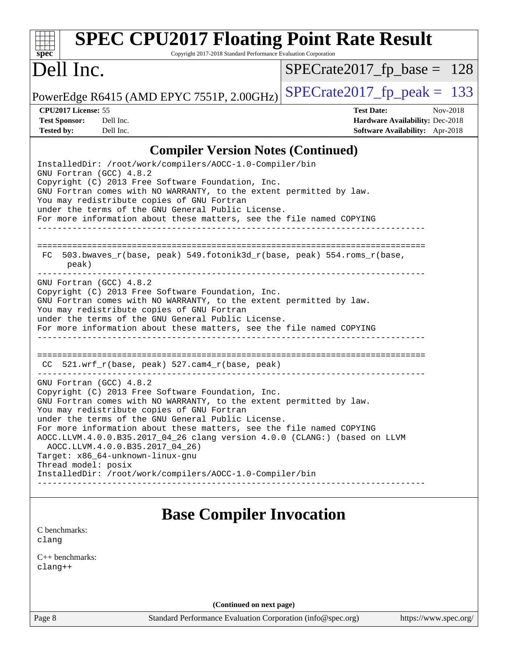| <b>SPEC CPU2017 Floating Point Rate Result</b>                                                                                                                                                                                                                                                                                                                                                                                                                                                                                                                          |                                                                                                            |
|-------------------------------------------------------------------------------------------------------------------------------------------------------------------------------------------------------------------------------------------------------------------------------------------------------------------------------------------------------------------------------------------------------------------------------------------------------------------------------------------------------------------------------------------------------------------------|------------------------------------------------------------------------------------------------------------|
| spec <sup>®</sup><br>Copyright 2017-2018 Standard Performance Evaluation Corporation                                                                                                                                                                                                                                                                                                                                                                                                                                                                                    |                                                                                                            |
| Dell Inc.                                                                                                                                                                                                                                                                                                                                                                                                                                                                                                                                                               | $SPECrate2017_fp\_base = 128$                                                                              |
| PowerEdge R6415 (AMD EPYC 7551P, 2.00GHz)                                                                                                                                                                                                                                                                                                                                                                                                                                                                                                                               | $SPECrate2017fp peak = 133$                                                                                |
| CPU2017 License: 55<br><b>Test Sponsor:</b><br>Dell Inc.<br><b>Tested by:</b><br>Dell Inc.                                                                                                                                                                                                                                                                                                                                                                                                                                                                              | <b>Test Date:</b><br>Nov-2018<br>Hardware Availability: Dec-2018<br><b>Software Availability:</b> Apr-2018 |
| <b>Compiler Version Notes (Continued)</b>                                                                                                                                                                                                                                                                                                                                                                                                                                                                                                                               |                                                                                                            |
| InstalledDir: /root/work/compilers/AOCC-1.0-Compiler/bin<br>GNU Fortran (GCC) 4.8.2<br>Copyright (C) 2013 Free Software Foundation, Inc.<br>GNU Fortran comes with NO WARRANTY, to the extent permitted by law.<br>You may redistribute copies of GNU Fortran<br>under the terms of the GNU General Public License.<br>For more information about these matters, see the file named COPYING                                                                                                                                                                             |                                                                                                            |
| 503.bwaves_r(base, peak) 549.fotonik3d_r(base, peak) 554.roms_r(base,<br>FC<br>peak)                                                                                                                                                                                                                                                                                                                                                                                                                                                                                    |                                                                                                            |
| GNU Fortran (GCC) 4.8.2<br>Copyright (C) 2013 Free Software Foundation, Inc.<br>GNU Fortran comes with NO WARRANTY, to the extent permitted by law.<br>You may redistribute copies of GNU Fortran<br>under the terms of the GNU General Public License.<br>For more information about these matters, see the file named COPYING                                                                                                                                                                                                                                         |                                                                                                            |
| CC 521.wrf_r(base, peak) 527.cam4_r(base, peak)                                                                                                                                                                                                                                                                                                                                                                                                                                                                                                                         |                                                                                                            |
| GNU Fortran (GCC) 4.8.2<br>Copyright (C) 2013 Free Software Foundation, Inc.<br>GNU Fortran comes with NO WARRANTY, to the extent permitted by law.<br>You may redistribute copies of GNU Fortran<br>under the terms of the GNU General Public License.<br>For more information about these matters, see the file named COPYING<br>AOCC.LLVM.4.0.0.B35.2017_04_26 clang version 4.0.0 (CLANG:) (based on LLVM<br>AOCC.LLVM.4.0.0.B35.2017_04_26)<br>Target: x86_64-unknown-linux-gnu<br>Thread model: posix<br>InstalledDir: /root/work/compilers/AOCC-1.0-Compiler/bin |                                                                                                            |
| <b>Base Compiler Invocation</b>                                                                                                                                                                                                                                                                                                                                                                                                                                                                                                                                         |                                                                                                            |
| C benchmarks:<br>clang                                                                                                                                                                                                                                                                                                                                                                                                                                                                                                                                                  |                                                                                                            |
| $C++$ benchmarks:                                                                                                                                                                                                                                                                                                                                                                                                                                                                                                                                                       |                                                                                                            |

[clang++](http://www.spec.org/cpu2017/results/res2018q4/cpu2017-20181210-10168.flags.html#user_CXXbase_Fclang3_57a48582e5be507d19b2527b3e7d4f85d9b8669ffc9a8a0dbb9bcf949a918a58bbab411e0c4d14a3922022a3e425a90db94042683824c1806feff4324ca1000d)

**(Continued on next page)**

Page 8 Standard Performance Evaluation Corporation [\(info@spec.org\)](mailto:info@spec.org) <https://www.spec.org/>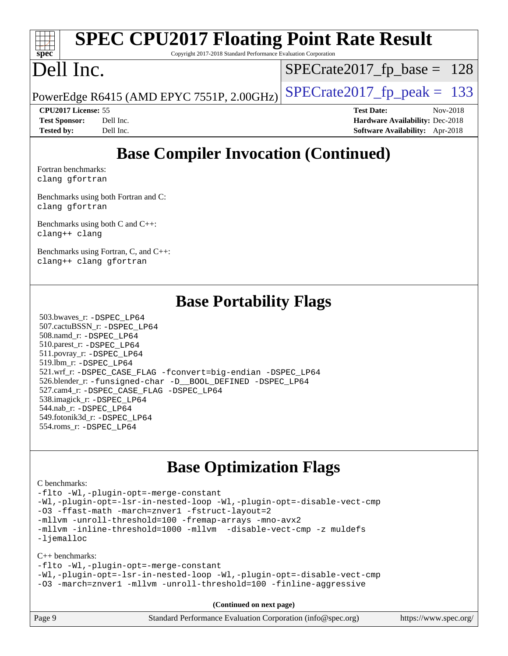# **[SPEC CPU2017 Floating Point Rate Result](http://www.spec.org/auto/cpu2017/Docs/result-fields.html#SPECCPU2017FloatingPointRateResult)**

Copyright 2017-2018 Standard Performance Evaluation Corporation

# Dell Inc.

**[spec](http://www.spec.org/)**

 $SPECTate2017_fp\_base = 128$ 

PowerEdge R6415 (AMD EPYC 7551P, 2.00GHz)  $\left|$  [SPECrate2017\\_fp\\_peak =](http://www.spec.org/auto/cpu2017/Docs/result-fields.html#SPECrate2017fppeak) 133

**[Tested by:](http://www.spec.org/auto/cpu2017/Docs/result-fields.html#Testedby)** Dell Inc. **[Software Availability:](http://www.spec.org/auto/cpu2017/Docs/result-fields.html#SoftwareAvailability)** Apr-2018

**[CPU2017 License:](http://www.spec.org/auto/cpu2017/Docs/result-fields.html#CPU2017License)** 55 **[Test Date:](http://www.spec.org/auto/cpu2017/Docs/result-fields.html#TestDate)** Nov-2018 **[Test Sponsor:](http://www.spec.org/auto/cpu2017/Docs/result-fields.html#TestSponsor)** Dell Inc. **[Hardware Availability:](http://www.spec.org/auto/cpu2017/Docs/result-fields.html#HardwareAvailability)** Dec-2018

## **[Base Compiler Invocation \(Continued\)](http://www.spec.org/auto/cpu2017/Docs/result-fields.html#BaseCompilerInvocation)**

[Fortran benchmarks](http://www.spec.org/auto/cpu2017/Docs/result-fields.html#Fortranbenchmarks): [clang](http://www.spec.org/cpu2017/results/res2018q4/cpu2017-20181210-10168.flags.html#user_FCbase_Fclang3_a68b77bfed473bd9cdd22529af008e8306c2e3948617c8991604c1a2000ee4a73ef90dd8bc793e105fe4165a625d26dacbda4708d828ad19048918c071b363ec) [gfortran](http://www.spec.org/cpu2017/results/res2018q4/cpu2017-20181210-10168.flags.html#user_FCbase_aocc-gfortran_128c91a56d61ddb07404721e65b8f9498c31a443dacbd3b7f212891090eca86e2d099b520f75b99e9e8ac4fdec01f4d15f0b65e47123ec4c42b0759045731a1f)

[Benchmarks using both Fortran and C](http://www.spec.org/auto/cpu2017/Docs/result-fields.html#BenchmarksusingbothFortranandC): [clang](http://www.spec.org/cpu2017/results/res2018q4/cpu2017-20181210-10168.flags.html#user_CC_FCbase_Fclang3_a68b77bfed473bd9cdd22529af008e8306c2e3948617c8991604c1a2000ee4a73ef90dd8bc793e105fe4165a625d26dacbda4708d828ad19048918c071b363ec) [gfortran](http://www.spec.org/cpu2017/results/res2018q4/cpu2017-20181210-10168.flags.html#user_CC_FCbase_aocc-gfortran_128c91a56d61ddb07404721e65b8f9498c31a443dacbd3b7f212891090eca86e2d099b520f75b99e9e8ac4fdec01f4d15f0b65e47123ec4c42b0759045731a1f)

[Benchmarks using both C and C++](http://www.spec.org/auto/cpu2017/Docs/result-fields.html#BenchmarksusingbothCandCXX): [clang++](http://www.spec.org/cpu2017/results/res2018q4/cpu2017-20181210-10168.flags.html#user_CC_CXXbase_Fclang3_57a48582e5be507d19b2527b3e7d4f85d9b8669ffc9a8a0dbb9bcf949a918a58bbab411e0c4d14a3922022a3e425a90db94042683824c1806feff4324ca1000d) [clang](http://www.spec.org/cpu2017/results/res2018q4/cpu2017-20181210-10168.flags.html#user_CC_CXXbase_Fclang3_a68b77bfed473bd9cdd22529af008e8306c2e3948617c8991604c1a2000ee4a73ef90dd8bc793e105fe4165a625d26dacbda4708d828ad19048918c071b363ec)

[Benchmarks using Fortran, C, and C++:](http://www.spec.org/auto/cpu2017/Docs/result-fields.html#BenchmarksusingFortranCandCXX) [clang++](http://www.spec.org/cpu2017/results/res2018q4/cpu2017-20181210-10168.flags.html#user_CC_CXX_FCbase_Fclang3_57a48582e5be507d19b2527b3e7d4f85d9b8669ffc9a8a0dbb9bcf949a918a58bbab411e0c4d14a3922022a3e425a90db94042683824c1806feff4324ca1000d) [clang](http://www.spec.org/cpu2017/results/res2018q4/cpu2017-20181210-10168.flags.html#user_CC_CXX_FCbase_Fclang3_a68b77bfed473bd9cdd22529af008e8306c2e3948617c8991604c1a2000ee4a73ef90dd8bc793e105fe4165a625d26dacbda4708d828ad19048918c071b363ec) [gfortran](http://www.spec.org/cpu2017/results/res2018q4/cpu2017-20181210-10168.flags.html#user_CC_CXX_FCbase_aocc-gfortran_128c91a56d61ddb07404721e65b8f9498c31a443dacbd3b7f212891090eca86e2d099b520f75b99e9e8ac4fdec01f4d15f0b65e47123ec4c42b0759045731a1f)

## **[Base Portability Flags](http://www.spec.org/auto/cpu2017/Docs/result-fields.html#BasePortabilityFlags)**

 503.bwaves\_r: [-DSPEC\\_LP64](http://www.spec.org/cpu2017/results/res2018q4/cpu2017-20181210-10168.flags.html#suite_baseEXTRA_PORTABILITY503_bwaves_r_DSPEC_LP64) 507.cactuBSSN\_r: [-DSPEC\\_LP64](http://www.spec.org/cpu2017/results/res2018q4/cpu2017-20181210-10168.flags.html#suite_baseEXTRA_PORTABILITY507_cactuBSSN_r_DSPEC_LP64) 508.namd\_r: [-DSPEC\\_LP64](http://www.spec.org/cpu2017/results/res2018q4/cpu2017-20181210-10168.flags.html#suite_baseEXTRA_PORTABILITY508_namd_r_DSPEC_LP64) 510.parest\_r: [-DSPEC\\_LP64](http://www.spec.org/cpu2017/results/res2018q4/cpu2017-20181210-10168.flags.html#suite_baseEXTRA_PORTABILITY510_parest_r_DSPEC_LP64) 511.povray\_r: [-DSPEC\\_LP64](http://www.spec.org/cpu2017/results/res2018q4/cpu2017-20181210-10168.flags.html#suite_baseEXTRA_PORTABILITY511_povray_r_DSPEC_LP64) 519.lbm\_r: [-DSPEC\\_LP64](http://www.spec.org/cpu2017/results/res2018q4/cpu2017-20181210-10168.flags.html#suite_baseEXTRA_PORTABILITY519_lbm_r_DSPEC_LP64) 521.wrf\_r: [-DSPEC\\_CASE\\_FLAG](http://www.spec.org/cpu2017/results/res2018q4/cpu2017-20181210-10168.flags.html#b521.wrf_r_baseCPORTABILITY_DSPEC_CASE_FLAG) [-fconvert=big-endian](http://www.spec.org/cpu2017/results/res2018q4/cpu2017-20181210-10168.flags.html#user_baseFPORTABILITY521_wrf_r_F-fconvert) [-DSPEC\\_LP64](http://www.spec.org/cpu2017/results/res2018q4/cpu2017-20181210-10168.flags.html#suite_baseEXTRA_PORTABILITY521_wrf_r_DSPEC_LP64) 526.blender\_r: [-funsigned-char](http://www.spec.org/cpu2017/results/res2018q4/cpu2017-20181210-10168.flags.html#user_baseCPORTABILITY526_blender_r_F-funsigned-char) [-D\\_\\_BOOL\\_DEFINED](http://www.spec.org/cpu2017/results/res2018q4/cpu2017-20181210-10168.flags.html#b526.blender_r_baseCXXPORTABILITY_D__BOOL_DEFINED) [-DSPEC\\_LP64](http://www.spec.org/cpu2017/results/res2018q4/cpu2017-20181210-10168.flags.html#suite_baseEXTRA_PORTABILITY526_blender_r_DSPEC_LP64) 527.cam4\_r: [-DSPEC\\_CASE\\_FLAG](http://www.spec.org/cpu2017/results/res2018q4/cpu2017-20181210-10168.flags.html#b527.cam4_r_basePORTABILITY_DSPEC_CASE_FLAG) [-DSPEC\\_LP64](http://www.spec.org/cpu2017/results/res2018q4/cpu2017-20181210-10168.flags.html#suite_baseEXTRA_PORTABILITY527_cam4_r_DSPEC_LP64) 538.imagick\_r: [-DSPEC\\_LP64](http://www.spec.org/cpu2017/results/res2018q4/cpu2017-20181210-10168.flags.html#suite_baseEXTRA_PORTABILITY538_imagick_r_DSPEC_LP64) 544.nab\_r: [-DSPEC\\_LP64](http://www.spec.org/cpu2017/results/res2018q4/cpu2017-20181210-10168.flags.html#suite_baseEXTRA_PORTABILITY544_nab_r_DSPEC_LP64) 549.fotonik3d\_r: [-DSPEC\\_LP64](http://www.spec.org/cpu2017/results/res2018q4/cpu2017-20181210-10168.flags.html#suite_baseEXTRA_PORTABILITY549_fotonik3d_r_DSPEC_LP64) 554.roms\_r: [-DSPEC\\_LP64](http://www.spec.org/cpu2017/results/res2018q4/cpu2017-20181210-10168.flags.html#suite_baseEXTRA_PORTABILITY554_roms_r_DSPEC_LP64)

### **[Base Optimization Flags](http://www.spec.org/auto/cpu2017/Docs/result-fields.html#BaseOptimizationFlags)**

#### [C benchmarks](http://www.spec.org/auto/cpu2017/Docs/result-fields.html#Cbenchmarks):

[-flto](http://www.spec.org/cpu2017/results/res2018q4/cpu2017-20181210-10168.flags.html#user_CCbase_lto) [-Wl,-plugin-opt=-merge-constant](http://www.spec.org/cpu2017/results/res2018q4/cpu2017-20181210-10168.flags.html#user_CCbase_F-merge-constant_1d79771b5442061d9c8e05556c6b0c655e6c9e66f8c6936b0129d434b6acd2b1cf1b7cd2540d1570ff636111b08a6bc36e2e61fc34531f8ef7c1a34c57be1dbb) [-Wl,-plugin-opt=-lsr-in-nested-loop](http://www.spec.org/cpu2017/results/res2018q4/cpu2017-20181210-10168.flags.html#user_CCbase_lsr-in-nested-loop_1cff93fd95162f5e77640b5271e8bed680fb62b4a8d96fb8ab217ff3244646f1fbb342e31af83c263403bbf5249c7dc7732d5c86c3eab4cc8d32dcb7a6f33ca0) [-Wl,-plugin-opt=-disable-vect-cmp](http://www.spec.org/cpu2017/results/res2018q4/cpu2017-20181210-10168.flags.html#user_CCbase_disable-vect-cmp_1056b9a09b8ddc126e023b5f99ae33179ef568835465af9b7adeacf4b6480ff575c8aee439265bcfbcbf086f33f2fa5cca2bc4cf52b64c0cd2e10f6503cba02d) [-O3](http://www.spec.org/cpu2017/results/res2018q4/cpu2017-20181210-10168.flags.html#user_CCbase_F-O3) [-ffast-math](http://www.spec.org/cpu2017/results/res2018q4/cpu2017-20181210-10168.flags.html#user_CCbase_F-aocc-ffast-math_78dd175de6534c2005829757b9b0f2878e57b067cce6f7c443b2250ac68890960e2e1b320ca04b81ff7c62c6f87870ed05f06baf7875eea2990d38e3b73c71f1) [-march=znver1](http://www.spec.org/cpu2017/results/res2018q4/cpu2017-20181210-10168.flags.html#user_CCbase_F-march) [-fstruct-layout=2](http://www.spec.org/cpu2017/results/res2018q4/cpu2017-20181210-10168.flags.html#user_CCbase_F-fstruct-layout_a05ec02e17cdf7fe0c3950a6b005251b2b1e5e67af2b5298cf72714730c3d59ba290e75546b10aa22dac074c15ceaca36ae22c62cb51bcb2fbdc9dc4e7e222c4) [-mllvm -unroll-threshold=100](http://www.spec.org/cpu2017/results/res2018q4/cpu2017-20181210-10168.flags.html#user_CCbase_F-unroll-threshold_2755d0c78138845d361fa1543e3a063fffa198df9b3edf0cfb856bbc88a81e1769b12ac7a550c5d35197be55360db1a3f95a8d1304df999456cabf5120c45168) [-fremap-arrays](http://www.spec.org/cpu2017/results/res2018q4/cpu2017-20181210-10168.flags.html#user_CCbase_F-fremap-arrays) [-mno-avx2](http://www.spec.org/cpu2017/results/res2018q4/cpu2017-20181210-10168.flags.html#user_CCbase_F-mno-avx2) [-mllvm -inline-threshold=1000](http://www.spec.org/cpu2017/results/res2018q4/cpu2017-20181210-10168.flags.html#user_CCbase_inline-threshold_b7832241b0a6397e4ecdbaf0eb7defdc10f885c2a282fa3240fdc99844d543fda39cf8a4a9dccf68cf19b5438ac3b455264f478df15da0f4988afa40d8243bab) [-mllvm -disable-vect-cmp](http://www.spec.org/cpu2017/results/res2018q4/cpu2017-20181210-10168.flags.html#user_CCbase_disable-vect-cmp_d995c9eb800469498c6893dc847c54c903d59847b18cb2ac22011b9af7010c96d2d48d3c6b41246fe86945001509aa4dc528afb61cb238fd3b256a31781ea0cf) [-z muldefs](http://www.spec.org/cpu2017/results/res2018q4/cpu2017-20181210-10168.flags.html#user_CCbase_F-z-muldefs) [-ljemalloc](http://www.spec.org/cpu2017/results/res2018q4/cpu2017-20181210-10168.flags.html#user_CCbase_jemalloc-lib_d1249b907c500fa1c0672f44f562e3d0f79738ae9e3c4a9c376d49f265a04b9c99b167ecedbf6711b3085be911c67ff61f150a17b3472be731631ba4d0471706)

#### [C++ benchmarks:](http://www.spec.org/auto/cpu2017/Docs/result-fields.html#CXXbenchmarks)

[-flto](http://www.spec.org/cpu2017/results/res2018q4/cpu2017-20181210-10168.flags.html#user_CXXbase_lto) [-Wl,-plugin-opt=-merge-constant](http://www.spec.org/cpu2017/results/res2018q4/cpu2017-20181210-10168.flags.html#user_CXXbase_F-merge-constant_1d79771b5442061d9c8e05556c6b0c655e6c9e66f8c6936b0129d434b6acd2b1cf1b7cd2540d1570ff636111b08a6bc36e2e61fc34531f8ef7c1a34c57be1dbb)

[-Wl,-plugin-opt=-lsr-in-nested-loop](http://www.spec.org/cpu2017/results/res2018q4/cpu2017-20181210-10168.flags.html#user_CXXbase_lsr-in-nested-loop_1cff93fd95162f5e77640b5271e8bed680fb62b4a8d96fb8ab217ff3244646f1fbb342e31af83c263403bbf5249c7dc7732d5c86c3eab4cc8d32dcb7a6f33ca0) [-Wl,-plugin-opt=-disable-vect-cmp](http://www.spec.org/cpu2017/results/res2018q4/cpu2017-20181210-10168.flags.html#user_CXXbase_disable-vect-cmp_1056b9a09b8ddc126e023b5f99ae33179ef568835465af9b7adeacf4b6480ff575c8aee439265bcfbcbf086f33f2fa5cca2bc4cf52b64c0cd2e10f6503cba02d) [-O3](http://www.spec.org/cpu2017/results/res2018q4/cpu2017-20181210-10168.flags.html#user_CXXbase_F-O3) [-march=znver1](http://www.spec.org/cpu2017/results/res2018q4/cpu2017-20181210-10168.flags.html#user_CXXbase_F-march) [-mllvm -unroll-threshold=100](http://www.spec.org/cpu2017/results/res2018q4/cpu2017-20181210-10168.flags.html#user_CXXbase_F-unroll-threshold_2755d0c78138845d361fa1543e3a063fffa198df9b3edf0cfb856bbc88a81e1769b12ac7a550c5d35197be55360db1a3f95a8d1304df999456cabf5120c45168) [-finline-aggressive](http://www.spec.org/cpu2017/results/res2018q4/cpu2017-20181210-10168.flags.html#user_CXXbase_F-finline-aggressive)

**(Continued on next page)**

| Page 9 | Standard Performance Evaluation Corporation (info@spec.org) | https://www.spec.org/ |
|--------|-------------------------------------------------------------|-----------------------|
|--------|-------------------------------------------------------------|-----------------------|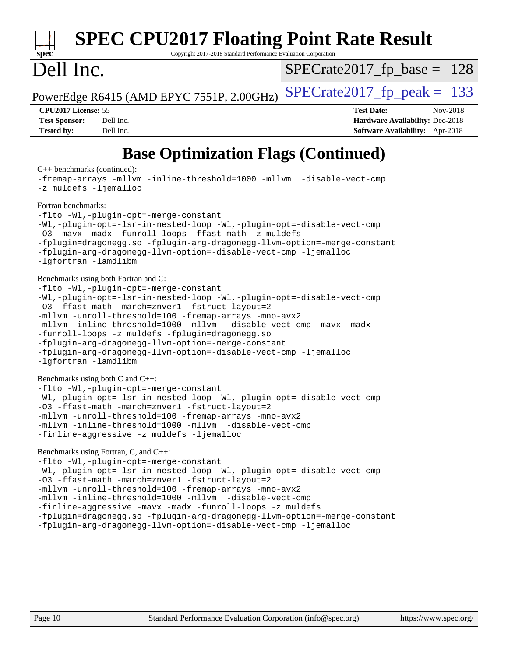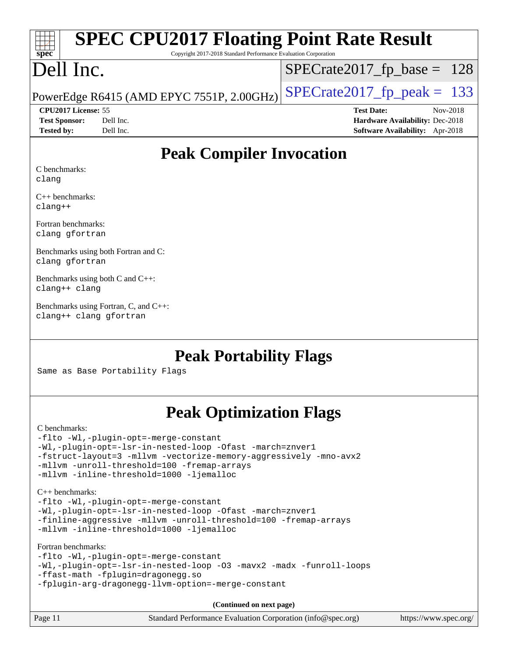# **[spec](http://www.spec.org/)**

# **[SPEC CPU2017 Floating Point Rate Result](http://www.spec.org/auto/cpu2017/Docs/result-fields.html#SPECCPU2017FloatingPointRateResult)**

Copyright 2017-2018 Standard Performance Evaluation Corporation

# Dell Inc.

 $SPECTate2017_fp\_base = 128$ 

PowerEdge R6415 (AMD EPYC 7551P, 2.00GHz)  $\left|$  [SPECrate2017\\_fp\\_peak =](http://www.spec.org/auto/cpu2017/Docs/result-fields.html#SPECrate2017fppeak) 133

**[Test Sponsor:](http://www.spec.org/auto/cpu2017/Docs/result-fields.html#TestSponsor)** Dell Inc. **[Hardware Availability:](http://www.spec.org/auto/cpu2017/Docs/result-fields.html#HardwareAvailability)** Dec-2018 **[Tested by:](http://www.spec.org/auto/cpu2017/Docs/result-fields.html#Testedby)** Dell Inc. **[Software Availability:](http://www.spec.org/auto/cpu2017/Docs/result-fields.html#SoftwareAvailability)** Apr-2018

**[CPU2017 License:](http://www.spec.org/auto/cpu2017/Docs/result-fields.html#CPU2017License)** 55 **[Test Date:](http://www.spec.org/auto/cpu2017/Docs/result-fields.html#TestDate)** Nov-2018

**[Peak Compiler Invocation](http://www.spec.org/auto/cpu2017/Docs/result-fields.html#PeakCompilerInvocation)**

[C benchmarks](http://www.spec.org/auto/cpu2017/Docs/result-fields.html#Cbenchmarks): [clang](http://www.spec.org/cpu2017/results/res2018q4/cpu2017-20181210-10168.flags.html#user_CCpeak_Fclang3_a68b77bfed473bd9cdd22529af008e8306c2e3948617c8991604c1a2000ee4a73ef90dd8bc793e105fe4165a625d26dacbda4708d828ad19048918c071b363ec)

[C++ benchmarks](http://www.spec.org/auto/cpu2017/Docs/result-fields.html#CXXbenchmarks): [clang++](http://www.spec.org/cpu2017/results/res2018q4/cpu2017-20181210-10168.flags.html#user_CXXpeak_Fclang3_57a48582e5be507d19b2527b3e7d4f85d9b8669ffc9a8a0dbb9bcf949a918a58bbab411e0c4d14a3922022a3e425a90db94042683824c1806feff4324ca1000d)

[Fortran benchmarks:](http://www.spec.org/auto/cpu2017/Docs/result-fields.html#Fortranbenchmarks) [clang](http://www.spec.org/cpu2017/results/res2018q4/cpu2017-20181210-10168.flags.html#user_FCpeak_Fclang3_a68b77bfed473bd9cdd22529af008e8306c2e3948617c8991604c1a2000ee4a73ef90dd8bc793e105fe4165a625d26dacbda4708d828ad19048918c071b363ec) [gfortran](http://www.spec.org/cpu2017/results/res2018q4/cpu2017-20181210-10168.flags.html#user_FCpeak_aocc-gfortran_128c91a56d61ddb07404721e65b8f9498c31a443dacbd3b7f212891090eca86e2d099b520f75b99e9e8ac4fdec01f4d15f0b65e47123ec4c42b0759045731a1f)

[Benchmarks using both Fortran and C](http://www.spec.org/auto/cpu2017/Docs/result-fields.html#BenchmarksusingbothFortranandC): [clang](http://www.spec.org/cpu2017/results/res2018q4/cpu2017-20181210-10168.flags.html#user_CC_FCpeak_Fclang3_a68b77bfed473bd9cdd22529af008e8306c2e3948617c8991604c1a2000ee4a73ef90dd8bc793e105fe4165a625d26dacbda4708d828ad19048918c071b363ec) [gfortran](http://www.spec.org/cpu2017/results/res2018q4/cpu2017-20181210-10168.flags.html#user_CC_FCpeak_aocc-gfortran_128c91a56d61ddb07404721e65b8f9498c31a443dacbd3b7f212891090eca86e2d099b520f75b99e9e8ac4fdec01f4d15f0b65e47123ec4c42b0759045731a1f)

[Benchmarks using both C and C++:](http://www.spec.org/auto/cpu2017/Docs/result-fields.html#BenchmarksusingbothCandCXX) [clang++](http://www.spec.org/cpu2017/results/res2018q4/cpu2017-20181210-10168.flags.html#user_CC_CXXpeak_Fclang3_57a48582e5be507d19b2527b3e7d4f85d9b8669ffc9a8a0dbb9bcf949a918a58bbab411e0c4d14a3922022a3e425a90db94042683824c1806feff4324ca1000d) [clang](http://www.spec.org/cpu2017/results/res2018q4/cpu2017-20181210-10168.flags.html#user_CC_CXXpeak_Fclang3_a68b77bfed473bd9cdd22529af008e8306c2e3948617c8991604c1a2000ee4a73ef90dd8bc793e105fe4165a625d26dacbda4708d828ad19048918c071b363ec)

[Benchmarks using Fortran, C, and C++](http://www.spec.org/auto/cpu2017/Docs/result-fields.html#BenchmarksusingFortranCandCXX): [clang++](http://www.spec.org/cpu2017/results/res2018q4/cpu2017-20181210-10168.flags.html#user_CC_CXX_FCpeak_Fclang3_57a48582e5be507d19b2527b3e7d4f85d9b8669ffc9a8a0dbb9bcf949a918a58bbab411e0c4d14a3922022a3e425a90db94042683824c1806feff4324ca1000d) [clang](http://www.spec.org/cpu2017/results/res2018q4/cpu2017-20181210-10168.flags.html#user_CC_CXX_FCpeak_Fclang3_a68b77bfed473bd9cdd22529af008e8306c2e3948617c8991604c1a2000ee4a73ef90dd8bc793e105fe4165a625d26dacbda4708d828ad19048918c071b363ec) [gfortran](http://www.spec.org/cpu2017/results/res2018q4/cpu2017-20181210-10168.flags.html#user_CC_CXX_FCpeak_aocc-gfortran_128c91a56d61ddb07404721e65b8f9498c31a443dacbd3b7f212891090eca86e2d099b520f75b99e9e8ac4fdec01f4d15f0b65e47123ec4c42b0759045731a1f)

**[Peak Portability Flags](http://www.spec.org/auto/cpu2017/Docs/result-fields.html#PeakPortabilityFlags)**

Same as Base Portability Flags

## **[Peak Optimization Flags](http://www.spec.org/auto/cpu2017/Docs/result-fields.html#PeakOptimizationFlags)**

[C benchmarks](http://www.spec.org/auto/cpu2017/Docs/result-fields.html#Cbenchmarks): [-flto](http://www.spec.org/cpu2017/results/res2018q4/cpu2017-20181210-10168.flags.html#user_CCpeak_lto) [-Wl,-plugin-opt=-merge-constant](http://www.spec.org/cpu2017/results/res2018q4/cpu2017-20181210-10168.flags.html#user_CCpeak_F-merge-constant_1d79771b5442061d9c8e05556c6b0c655e6c9e66f8c6936b0129d434b6acd2b1cf1b7cd2540d1570ff636111b08a6bc36e2e61fc34531f8ef7c1a34c57be1dbb) [-Wl,-plugin-opt=-lsr-in-nested-loop](http://www.spec.org/cpu2017/results/res2018q4/cpu2017-20181210-10168.flags.html#user_CCpeak_lsr-in-nested-loop_1cff93fd95162f5e77640b5271e8bed680fb62b4a8d96fb8ab217ff3244646f1fbb342e31af83c263403bbf5249c7dc7732d5c86c3eab4cc8d32dcb7a6f33ca0) [-Ofast](http://www.spec.org/cpu2017/results/res2018q4/cpu2017-20181210-10168.flags.html#user_CCpeak_F-aocc-Ofast) [-march=znver1](http://www.spec.org/cpu2017/results/res2018q4/cpu2017-20181210-10168.flags.html#user_CCpeak_F-march) [-fstruct-layout=3](http://www.spec.org/cpu2017/results/res2018q4/cpu2017-20181210-10168.flags.html#user_CCpeak_F-fstruct-layout) [-mllvm -vectorize-memory-aggressively](http://www.spec.org/cpu2017/results/res2018q4/cpu2017-20181210-10168.flags.html#user_CCpeak_vectorize-memory-aggressively_24b72a4417f50ade9e698c5b3bed87ab456cc6fc8ec6439480cb84f36ad6a3975af6e87206dea402e3871a1464ff3d60bc798e0250f330177ba629a260df1857) [-mno-avx2](http://www.spec.org/cpu2017/results/res2018q4/cpu2017-20181210-10168.flags.html#user_CCpeak_F-mno-avx2) [-mllvm -unroll-threshold=100](http://www.spec.org/cpu2017/results/res2018q4/cpu2017-20181210-10168.flags.html#user_CCpeak_F-unroll-threshold_2755d0c78138845d361fa1543e3a063fffa198df9b3edf0cfb856bbc88a81e1769b12ac7a550c5d35197be55360db1a3f95a8d1304df999456cabf5120c45168) [-fremap-arrays](http://www.spec.org/cpu2017/results/res2018q4/cpu2017-20181210-10168.flags.html#user_CCpeak_F-fremap-arrays) [-mllvm -inline-threshold=1000](http://www.spec.org/cpu2017/results/res2018q4/cpu2017-20181210-10168.flags.html#user_CCpeak_inline-threshold_b7832241b0a6397e4ecdbaf0eb7defdc10f885c2a282fa3240fdc99844d543fda39cf8a4a9dccf68cf19b5438ac3b455264f478df15da0f4988afa40d8243bab) [-ljemalloc](http://www.spec.org/cpu2017/results/res2018q4/cpu2017-20181210-10168.flags.html#user_CCpeak_jemalloc-lib_d1249b907c500fa1c0672f44f562e3d0f79738ae9e3c4a9c376d49f265a04b9c99b167ecedbf6711b3085be911c67ff61f150a17b3472be731631ba4d0471706) [C++ benchmarks:](http://www.spec.org/auto/cpu2017/Docs/result-fields.html#CXXbenchmarks) [-flto](http://www.spec.org/cpu2017/results/res2018q4/cpu2017-20181210-10168.flags.html#user_CXXpeak_lto) [-Wl,-plugin-opt=-merge-constant](http://www.spec.org/cpu2017/results/res2018q4/cpu2017-20181210-10168.flags.html#user_CXXpeak_F-merge-constant_1d79771b5442061d9c8e05556c6b0c655e6c9e66f8c6936b0129d434b6acd2b1cf1b7cd2540d1570ff636111b08a6bc36e2e61fc34531f8ef7c1a34c57be1dbb) [-Wl,-plugin-opt=-lsr-in-nested-loop](http://www.spec.org/cpu2017/results/res2018q4/cpu2017-20181210-10168.flags.html#user_CXXpeak_lsr-in-nested-loop_1cff93fd95162f5e77640b5271e8bed680fb62b4a8d96fb8ab217ff3244646f1fbb342e31af83c263403bbf5249c7dc7732d5c86c3eab4cc8d32dcb7a6f33ca0) [-Ofast](http://www.spec.org/cpu2017/results/res2018q4/cpu2017-20181210-10168.flags.html#user_CXXpeak_F-aocc-Ofast) [-march=znver1](http://www.spec.org/cpu2017/results/res2018q4/cpu2017-20181210-10168.flags.html#user_CXXpeak_F-march) [-finline-aggressive](http://www.spec.org/cpu2017/results/res2018q4/cpu2017-20181210-10168.flags.html#user_CXXpeak_F-finline-aggressive) [-mllvm -unroll-threshold=100](http://www.spec.org/cpu2017/results/res2018q4/cpu2017-20181210-10168.flags.html#user_CXXpeak_F-unroll-threshold_2755d0c78138845d361fa1543e3a063fffa198df9b3edf0cfb856bbc88a81e1769b12ac7a550c5d35197be55360db1a3f95a8d1304df999456cabf5120c45168) [-fremap-arrays](http://www.spec.org/cpu2017/results/res2018q4/cpu2017-20181210-10168.flags.html#user_CXXpeak_F-fremap-arrays) [-mllvm -inline-threshold=1000](http://www.spec.org/cpu2017/results/res2018q4/cpu2017-20181210-10168.flags.html#user_CXXpeak_inline-threshold_b7832241b0a6397e4ecdbaf0eb7defdc10f885c2a282fa3240fdc99844d543fda39cf8a4a9dccf68cf19b5438ac3b455264f478df15da0f4988afa40d8243bab) [-ljemalloc](http://www.spec.org/cpu2017/results/res2018q4/cpu2017-20181210-10168.flags.html#user_CXXpeak_jemalloc-lib_d1249b907c500fa1c0672f44f562e3d0f79738ae9e3c4a9c376d49f265a04b9c99b167ecedbf6711b3085be911c67ff61f150a17b3472be731631ba4d0471706) [Fortran benchmarks](http://www.spec.org/auto/cpu2017/Docs/result-fields.html#Fortranbenchmarks): [-flto](http://www.spec.org/cpu2017/results/res2018q4/cpu2017-20181210-10168.flags.html#user_FCpeak_lto) [-Wl,-plugin-opt=-merge-constant](http://www.spec.org/cpu2017/results/res2018q4/cpu2017-20181210-10168.flags.html#user_FCpeak_F-merge-constant_1d79771b5442061d9c8e05556c6b0c655e6c9e66f8c6936b0129d434b6acd2b1cf1b7cd2540d1570ff636111b08a6bc36e2e61fc34531f8ef7c1a34c57be1dbb) [-Wl,-plugin-opt=-lsr-in-nested-loop](http://www.spec.org/cpu2017/results/res2018q4/cpu2017-20181210-10168.flags.html#user_FCpeak_lsr-in-nested-loop_1cff93fd95162f5e77640b5271e8bed680fb62b4a8d96fb8ab217ff3244646f1fbb342e31af83c263403bbf5249c7dc7732d5c86c3eab4cc8d32dcb7a6f33ca0) [-O3](http://www.spec.org/cpu2017/results/res2018q4/cpu2017-20181210-10168.flags.html#user_FCpeak_F-O3) [-mavx2](http://www.spec.org/cpu2017/results/res2018q4/cpu2017-20181210-10168.flags.html#user_FCpeak_F-mavx2) [-madx](http://www.spec.org/cpu2017/results/res2018q4/cpu2017-20181210-10168.flags.html#user_FCpeak_F-madx) [-funroll-loops](http://www.spec.org/cpu2017/results/res2018q4/cpu2017-20181210-10168.flags.html#user_FCpeak_aocc-funroll-loops) [-ffast-math](http://www.spec.org/cpu2017/results/res2018q4/cpu2017-20181210-10168.flags.html#user_FCpeak_F-aocc-ffast-math_78dd175de6534c2005829757b9b0f2878e57b067cce6f7c443b2250ac68890960e2e1b320ca04b81ff7c62c6f87870ed05f06baf7875eea2990d38e3b73c71f1) [-fplugin=dragonegg.so](http://www.spec.org/cpu2017/results/res2018q4/cpu2017-20181210-10168.flags.html#user_FCpeak_F-fpluginDragonEgg) [-fplugin-arg-dragonegg-llvm-option=-merge-constant](http://www.spec.org/cpu2017/results/res2018q4/cpu2017-20181210-10168.flags.html#user_FCpeak_F-merge-constant_37fd66d07a4fbae8f1b816e843c3ed1ebaa48f794b65ea8be746a1880566a3d23eba4a3c37b5c024650311adcf9247c62af28144803b3729b14be14423fa5142) **(Continued on next page)**

| Page 11 | Standard Performance Evaluation Corporation (info@spec.org) | https://www.spec.org/ |
|---------|-------------------------------------------------------------|-----------------------|
|         |                                                             |                       |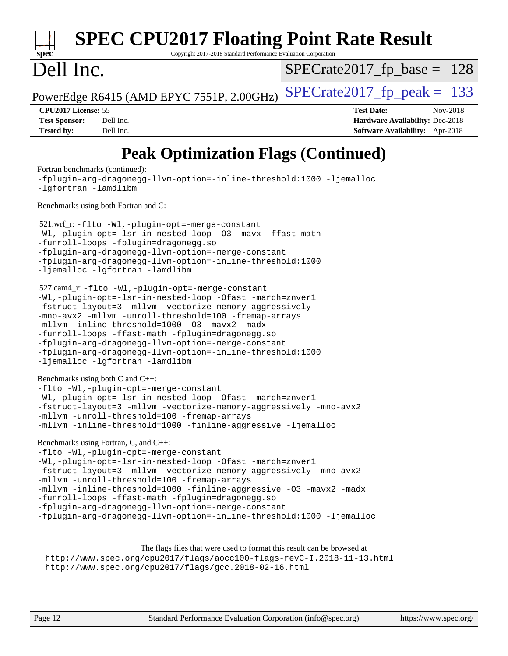#### **[spec](http://www.spec.org/) [SPEC CPU2017 Floating Point Rate Result](http://www.spec.org/auto/cpu2017/Docs/result-fields.html#SPECCPU2017FloatingPointRateResult)** Copyright 2017-2018 Standard Performance Evaluation Corporation Dell Inc. PowerEdge R6415 (AMD EPYC 7551P, 2.00GHz)  $\text{SPECrate}$  2017 fp peak = 133  $SPECTate2017_fp\_base = 128$ **[CPU2017 License:](http://www.spec.org/auto/cpu2017/Docs/result-fields.html#CPU2017License)** 55 **[Test Date:](http://www.spec.org/auto/cpu2017/Docs/result-fields.html#TestDate)** Nov-2018 **[Test Sponsor:](http://www.spec.org/auto/cpu2017/Docs/result-fields.html#TestSponsor)** Dell Inc. **[Hardware Availability:](http://www.spec.org/auto/cpu2017/Docs/result-fields.html#HardwareAvailability)** Dec-2018 **[Tested by:](http://www.spec.org/auto/cpu2017/Docs/result-fields.html#Testedby)** Dell Inc. **[Software Availability:](http://www.spec.org/auto/cpu2017/Docs/result-fields.html#SoftwareAvailability)** Apr-2018 **[Peak Optimization Flags \(Continued\)](http://www.spec.org/auto/cpu2017/Docs/result-fields.html#PeakOptimizationFlags)** [Fortran benchmarks](http://www.spec.org/auto/cpu2017/Docs/result-fields.html#Fortranbenchmarks) (continued): [-fplugin-arg-dragonegg-llvm-option=-inline-threshold:1000](http://www.spec.org/cpu2017/results/res2018q4/cpu2017-20181210-10168.flags.html#user_FCpeak_inline-threshold_eec74946bf81becf626625ea3f1757217b7f1e09b0c056df6f4a6dc542562255a9e8a6d36c454b3b2ed3e147f40cf87a14a68e01ad47a8b90b49f15f387f919f) [-ljemalloc](http://www.spec.org/cpu2017/results/res2018q4/cpu2017-20181210-10168.flags.html#user_FCpeak_jemalloc-lib_d1249b907c500fa1c0672f44f562e3d0f79738ae9e3c4a9c376d49f265a04b9c99b167ecedbf6711b3085be911c67ff61f150a17b3472be731631ba4d0471706)

[-lgfortran](http://www.spec.org/cpu2017/results/res2018q4/cpu2017-20181210-10168.flags.html#user_FCpeak_F-lgfortran) [-lamdlibm](http://www.spec.org/cpu2017/results/res2018q4/cpu2017-20181210-10168.flags.html#user_FCpeak_F-lamdlibm) [Benchmarks using both Fortran and C](http://www.spec.org/auto/cpu2017/Docs/result-fields.html#BenchmarksusingbothFortranandC):

 521.wrf\_r: [-flto](http://www.spec.org/cpu2017/results/res2018q4/cpu2017-20181210-10168.flags.html#user_peakEXTRA_LDFLAGS521_wrf_r_lto) [-Wl,-plugin-opt=-merge-constant](http://www.spec.org/cpu2017/results/res2018q4/cpu2017-20181210-10168.flags.html#user_peakEXTRA_LDFLAGS521_wrf_r_F-merge-constant_1d79771b5442061d9c8e05556c6b0c655e6c9e66f8c6936b0129d434b6acd2b1cf1b7cd2540d1570ff636111b08a6bc36e2e61fc34531f8ef7c1a34c57be1dbb) [-Wl,-plugin-opt=-lsr-in-nested-loop](http://www.spec.org/cpu2017/results/res2018q4/cpu2017-20181210-10168.flags.html#user_peakEXTRA_LDFLAGS521_wrf_r_lsr-in-nested-loop_1cff93fd95162f5e77640b5271e8bed680fb62b4a8d96fb8ab217ff3244646f1fbb342e31af83c263403bbf5249c7dc7732d5c86c3eab4cc8d32dcb7a6f33ca0) [-O3](http://www.spec.org/cpu2017/results/res2018q4/cpu2017-20181210-10168.flags.html#user_peakCOPTIMIZEFOPTIMIZE521_wrf_r_F-O3) [-mavx](http://www.spec.org/cpu2017/results/res2018q4/cpu2017-20181210-10168.flags.html#user_peakCOPTIMIZEFOPTIMIZE521_wrf_r_F-mavx) [-ffast-math](http://www.spec.org/cpu2017/results/res2018q4/cpu2017-20181210-10168.flags.html#user_peakCOPTIMIZEFOPTIMIZE521_wrf_r_F-aocc-ffast-math_78dd175de6534c2005829757b9b0f2878e57b067cce6f7c443b2250ac68890960e2e1b320ca04b81ff7c62c6f87870ed05f06baf7875eea2990d38e3b73c71f1) [-funroll-loops](http://www.spec.org/cpu2017/results/res2018q4/cpu2017-20181210-10168.flags.html#user_peakFOPTIMIZE521_wrf_r_aocc-funroll-loops) [-fplugin=dragonegg.so](http://www.spec.org/cpu2017/results/res2018q4/cpu2017-20181210-10168.flags.html#user_peakEXTRA_FFLAGS521_wrf_r_F-fpluginDragonEgg) [-fplugin-arg-dragonegg-llvm-option=-merge-constant](http://www.spec.org/cpu2017/results/res2018q4/cpu2017-20181210-10168.flags.html#user_peakEXTRA_FFLAGS521_wrf_r_F-merge-constant_37fd66d07a4fbae8f1b816e843c3ed1ebaa48f794b65ea8be746a1880566a3d23eba4a3c37b5c024650311adcf9247c62af28144803b3729b14be14423fa5142) [-fplugin-arg-dragonegg-llvm-option=-inline-threshold:1000](http://www.spec.org/cpu2017/results/res2018q4/cpu2017-20181210-10168.flags.html#user_peakEXTRA_FFLAGS521_wrf_r_inline-threshold_eec74946bf81becf626625ea3f1757217b7f1e09b0c056df6f4a6dc542562255a9e8a6d36c454b3b2ed3e147f40cf87a14a68e01ad47a8b90b49f15f387f919f) [-ljemalloc](http://www.spec.org/cpu2017/results/res2018q4/cpu2017-20181210-10168.flags.html#user_peakEXTRA_LIBS521_wrf_r_jemalloc-lib_d1249b907c500fa1c0672f44f562e3d0f79738ae9e3c4a9c376d49f265a04b9c99b167ecedbf6711b3085be911c67ff61f150a17b3472be731631ba4d0471706) [-lgfortran](http://www.spec.org/cpu2017/results/res2018q4/cpu2017-20181210-10168.flags.html#user_peakEXTRA_FLIBS521_wrf_r_F-lgfortran) [-lamdlibm](http://www.spec.org/cpu2017/results/res2018q4/cpu2017-20181210-10168.flags.html#user_peakEXTRA_FLIBS521_wrf_r_F-lamdlibm)

```
 527.cam4_r: -flto -Wl,-plugin-opt=-merge-constant
-Wl,-plugin-opt=-lsr-in-nested-loop -Ofast -march=znver1
-fstruct-layout=3 -mllvm -vectorize-memory-aggressively
-mno-avx2 -mllvm -unroll-threshold=100 -fremap-arrays
-mllvm -inline-threshold=1000 -O3 -mavx2 -madx
-funroll-loops -ffast-math -fplugin=dragonegg.so
-fplugin-arg-dragonegg-llvm-option=-merge-constant
-fplugin-arg-dragonegg-llvm-option=-inline-threshold:1000
-ljemalloc -lgfortran -lamdlibm
```
[Benchmarks using both C and C++](http://www.spec.org/auto/cpu2017/Docs/result-fields.html#BenchmarksusingbothCandCXX):

```
-flto -Wl,-plugin-opt=-merge-constant
-Wl,-plugin-opt=-lsr-in-nested-loop -Ofast -march=znver1
-fstruct-layout=3 -mllvm -vectorize-memory-aggressively -mno-avx2
-mllvm -unroll-threshold=100 -fremap-arrays
-mllvm -inline-threshold=1000 -finline-aggressive -ljemalloc
```
[Benchmarks using Fortran, C, and C++:](http://www.spec.org/auto/cpu2017/Docs/result-fields.html#BenchmarksusingFortranCandCXX)

```
-flto -Wl,-plugin-opt=-merge-constant
-Wl,-plugin-opt=-lsr-in-nested-loop -Ofast -march=znver1
-fstruct-layout=3 -mllvm -vectorize-memory-aggressively -mno-avx2
-mllvm -unroll-threshold=100 -fremap-arrays
-mllvm -inline-threshold=1000 -finline-aggressive -O3 -mavx2 -madx
-funroll-loops -ffast-math -fplugin=dragonegg.so
-fplugin-arg-dragonegg-llvm-option=-merge-constant
-fplugin-arg-dragonegg-llvm-option=-inline-threshold:1000 -ljemalloc
```
The flags files that were used to format this result can be browsed at <http://www.spec.org/cpu2017/flags/aocc100-flags-revC-I.2018-11-13.html> <http://www.spec.org/cpu2017/flags/gcc.2018-02-16.html>